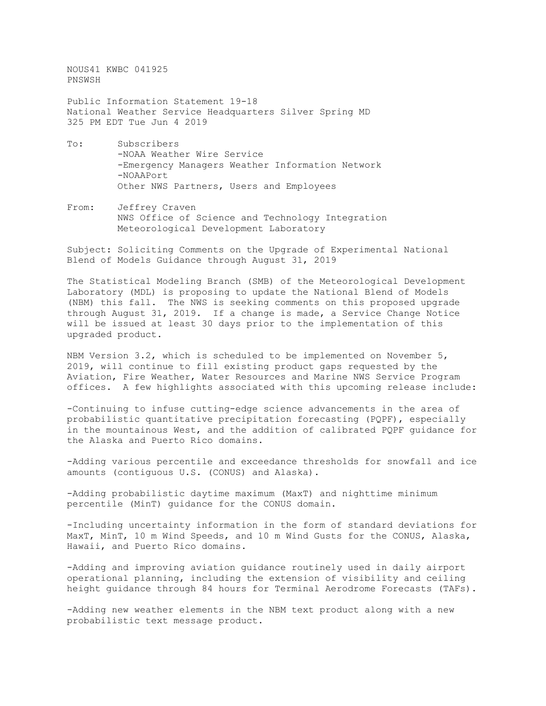NOUS41 KWBC 041925 PNSWSH

Public Information Statement 19-18 National Weather Service Headquarters Silver Spring MD 325 PM EDT Tue Jun 4 2019

- To: Subscribers -NOAA Weather Wire Service -Emergency Managers Weather Information Network -NOAAPort Other NWS Partners, Users and Employees
- From: Jeffrey Craven NWS Office of Science and Technology Integration Meteorological Development Laboratory

Subject: Soliciting Comments on the Upgrade of Experimental National Blend of Models Guidance through August 31, 2019

The Statistical Modeling Branch (SMB) of the Meteorological Development Laboratory (MDL) is proposing to update the National Blend of Models (NBM) this fall. The NWS is seeking comments on this proposed upgrade through August 31, 2019. If a change is made, a Service Change Notice will be issued at least 30 days prior to the implementation of this upgraded product.

NBM Version 3.2, which is scheduled to be implemented on November 5, 2019, will continue to fill existing product gaps requested by the Aviation, Fire Weather, Water Resources and Marine NWS Service Program offices. A few highlights associated with this upcoming release include:

-Continuing to infuse cutting-edge science advancements in the area of probabilistic quantitative precipitation forecasting (PQPF), especially in the mountainous West, and the addition of calibrated PQPF guidance for the Alaska and Puerto Rico domains.

-Adding various percentile and exceedance thresholds for snowfall and ice amounts (contiguous U.S. (CONUS) and Alaska).

-Adding probabilistic daytime maximum (MaxT) and nighttime minimum percentile (MinT) guidance for the CONUS domain.

-Including uncertainty information in the form of standard deviations for MaxT, MinT, 10 m Wind Speeds, and 10 m Wind Gusts for the CONUS, Alaska, Hawaii, and Puerto Rico domains.

-Adding and improving aviation guidance routinely used in daily airport operational planning, including the extension of visibility and ceiling height guidance through 84 hours for Terminal Aerodrome Forecasts (TAFs).

-Adding new weather elements in the NBM text product along with a new probabilistic text message product.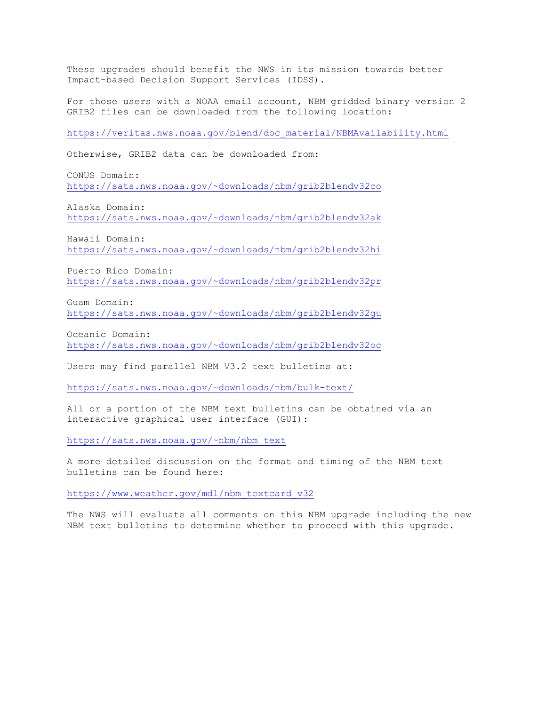These upgrades should benefit the NWS in its mission towards better Impact-based Decision Support Services (IDSS).

For those users with a NOAA email account, NBM gridded binary version 2 GRIB2 files can be downloaded from the following location:

[https://veritas.nws.noaa.gov/blend/doc\\_material/NBMAvailability.html](https://veritas.nws.noaa.gov/blend/doc_material/NBMAvailability.html)

Otherwise, GRIB2 data can be downloaded from:

CONUS Domain: [https://sats.nws.noaa.gov/~downloads/nbm/grib2blendv32co](https://sats.nws.noaa.gov/%7Edownloads/nbm/grib2blendv32co)

Alaska Domain: [https://sats.nws.noaa.gov/~downloads/nbm/grib2blendv32ak](https://sats.nws.noaa.gov/%7Edownloads/nbm/grib2blendv32ak)

Hawaii Domain: [https://sats.nws.noaa.gov/~downloads/nbm/grib2blendv32hi](https://sats.nws.noaa.gov/%7Edownloads/nbm/grib2blendv32hi)

Puerto Rico Domain: [https://sats.nws.noaa.gov/~downloads/nbm/grib2blendv32pr](https://sats.nws.noaa.gov/%7Edownloads/nbm/grib2blendv32pr)

Guam Domain: [https://sats.nws.noaa.gov/~downloads/nbm/grib2blendv32gu](https://sats.nws.noaa.gov/%7Edownloads/nbm/grib2blendv32gu)

Oceanic Domain: [https://sats.nws.noaa.gov/~downloads/nbm/grib2blendv32oc](https://sats.nws.noaa.gov/%7Edownloads/nbm/grib2blendv32oc)

Users may find parallel NBM V3.2 text bulletins at:

[https://sats.nws.noaa.gov/~downloads/nbm/bulk-text/](https://sats.nws.noaa.gov/%7Edownloads/nbm/bulk-text/)

All or a portion of the NBM text bulletins can be obtained via an interactive graphical user interface (GUI):

[https://sats.nws.noaa.gov/~nbm/nbm\\_text](https://sats.nws.noaa.gov/%7Enbm/nbm_text)

A more detailed discussion on the format and timing of the NBM text bulletins can be found here:

[https://www.weather.gov/mdl/nbm\\_textcard\\_v32](https://www.weather.gov/mdl/nbm_textcard_v32)

The NWS will evaluate all comments on this NBM upgrade including the new NBM text bulletins to determine whether to proceed with this upgrade.